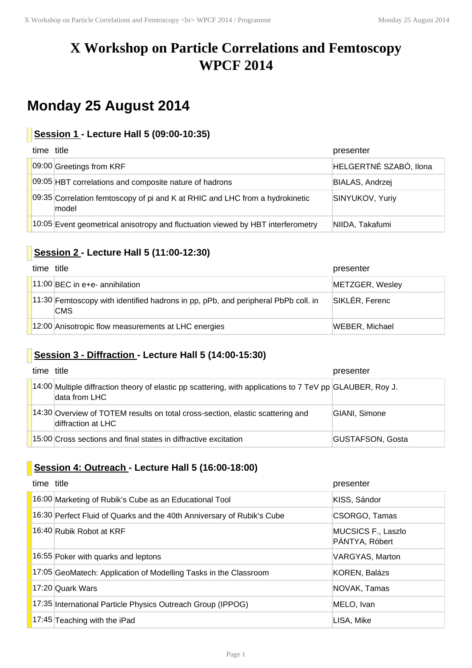# **X Workshop on Particle Correlations and Femtoscopy WPCF 2014**

# **Monday 25 August 2014**

### **Session 1 - Lecture Hall 5 (09:00-10:35)**

| time title                                                                            | presenter              |
|---------------------------------------------------------------------------------------|------------------------|
| 09:00 Greetings from KRF                                                              | HELGERTNÉ SZABÓ, Ilona |
| 09:05 HBT correlations and composite nature of hadrons                                | BIALAS, Andrzej        |
| 09:35 Correlation femtoscopy of pi and K at RHIC and LHC from a hydrokinetic<br>model | <b>SINYUKOV, Yuriy</b> |
| 10:05 Event geometrical anisotropy and fluctuation viewed by HBT interferometry       | NIIDA, Takafumi        |

# **Session 2 - Lecture Hall 5 (11:00-12:30)**

| time title |                                                                                                   | presenter             |
|------------|---------------------------------------------------------------------------------------------------|-----------------------|
|            | $11:00$ BEC in e+e- annihilation                                                                  | METZGER, Wesley       |
|            | $11:30$ Femtoscopy with identified hadrons in pp, pPb, and peripheral PbPb coll. in<br><b>CMS</b> | SIKLÉR, Ferenc        |
|            | 12:00 Anisotropic flow measurements at LHC energies                                               | <b>WEBER, Michael</b> |

### **Session 3 - Diffraction - Lecture Hall 5 (14:00-15:30)**

| time title |                                                                                                                            | presenter               |
|------------|----------------------------------------------------------------------------------------------------------------------------|-------------------------|
|            | 14:00 Multiple diffraction theory of elastic pp scattering, with applications to 7 TeV pp GLAUBER, Roy J.<br>data from LHC |                         |
|            | 14:30 Overview of TOTEM results on total cross-section, elastic scattering and<br>diffraction at LHC                       | GIANI, Simone           |
|            | 15:00 Cross sections and final states in diffractive excitation                                                            | <b>GUSTAFSON, Gosta</b> |

## **Session 4: Outreach - Lecture Hall 5 (16:00-18:00)**

| time title                                                             | presenter                            |
|------------------------------------------------------------------------|--------------------------------------|
| 16:00 Marketing of Rubik's Cube as an Educational Tool                 | KISS, Sándor                         |
| 16:30 Perfect Fluid of Quarks and the 40th Anniversary of Rubik's Cube | CSORGO, Tamas                        |
| 16:40 Rubik Robot at KRF                                               | MUCSICS F., Laszlo<br>PÁNTYA, Róbert |
| 16:55 Poker with quarks and leptons                                    | VARGYAS, Marton                      |
| 17:05 GeoMatech: Application of Modelling Tasks in the Classroom       | KOREN, Balázs                        |
| 17:20 Quark Wars                                                       | NOVAK, Tamas                         |
| 17:35 International Particle Physics Outreach Group (IPPOG)            | MELO, Ivan                           |
| 17:45 Teaching with the iPad                                           | LISA, Mike                           |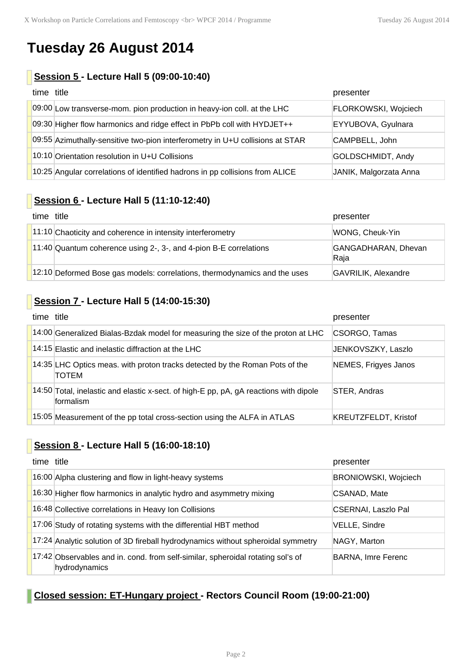# **Tuesday 26 August 2014**

### **Session 5 - Lecture Hall 5 (09:00-10:40)**

| time title |                                                                               | presenter              |
|------------|-------------------------------------------------------------------------------|------------------------|
|            | 09:00 Low transverse-mom. pion production in heavy-ion coll. at the LHC       | FLORKOWSKI, Wojciech   |
|            | 09:30 Higher flow harmonics and ridge effect in PbPb coll with HYDJET++       | EYYUBOVA, Gyulnara     |
|            | 09:55 Azimuthally-sensitive two-pion interferometry in U+U collisions at STAR | CAMPBELL, John         |
|            | 10:10 Orientation resolution in U+U Collisions                                | GOLDSCHMIDT, Andy      |
|            | 10:25 Angular correlations of identified hadrons in pp collisions from ALICE  | JANIK, Malgorzata Anna |

## **Session 6 - Lecture Hall 5 (11:10-12:40)**

| time title |                                                                           | presenter                   |
|------------|---------------------------------------------------------------------------|-----------------------------|
|            | 11:10 Chaoticity and coherence in intensity interferometry                | WONG, Cheuk-Yin             |
|            | 11:40 Quantum coherence using 2-, 3-, and 4-pion B-E correlations         | GANGADHARAN, Dhevan<br>Raja |
|            | 12:10 Deformed Bose gas models: correlations, thermodynamics and the uses | <b>GAVRILIK, Alexandre</b>  |

### **Session 7 - Lecture Hall 5 (14:00-15:30)**

| time title |                                                                                                           | presenter                   |
|------------|-----------------------------------------------------------------------------------------------------------|-----------------------------|
|            | 14:00 Generalized Bialas-Bzdak model for measuring the size of the proton at LHC                          | CSORGO, Tamas               |
|            | 14:15 Elastic and inelastic diffraction at the LHC                                                        | JENKOVSZKY, Laszlo          |
|            | 14:35 LHC Optics meas. with proton tracks detected by the Roman Pots of the<br>TOTEM                      | NEMES, Frigyes Janos        |
|            | 14:50 Total, inelastic and elastic x-sect. of high-E pp, pA, gA reactions with dipole<br><b>formalism</b> | STER, Andras                |
|            | 15:05 Measurement of the pp total cross-section using the ALFA in ATLAS                                   | <b>KREUTZFELDT, Kristof</b> |

# **Session 8 - Lecture Hall 5 (16:00-18:10)**

| time title |                                                                                                  | presenter                   |
|------------|--------------------------------------------------------------------------------------------------|-----------------------------|
|            | 16:00 Alpha clustering and flow in light-heavy systems                                           | <b>BRONIOWSKI, Wojciech</b> |
|            | 16:30 Higher flow harmonics in analytic hydro and asymmetry mixing                               | CSANAD, Mate                |
|            | 16:48 Collective correlations in Heavy Ion Collisions                                            | <b>CSERNAI, Laszlo Pal</b>  |
|            | 17:06 Study of rotating systems with the differential HBT method                                 | VELLE, Sindre               |
|            | 17:24 Analytic solution of 3D fireball hydrodynamics without spheroidal symmetry                 | NAGY, Marton                |
|            | 17:42 Observables and in. cond. from self-similar, spheroidal rotating sol's of<br>hydrodynamics | <b>BARNA, Imre Ferenc</b>   |

### **Closed session: ET-Hungary project - Rectors Council Room (19:00-21:00)**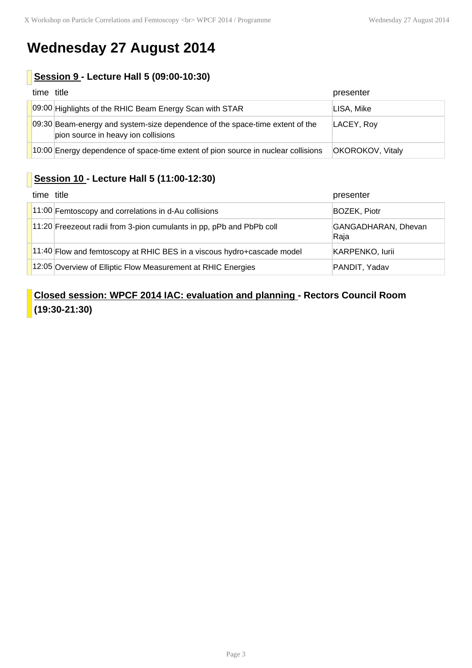# **Wednesday 27 August 2014**

### **Session 9 - Lecture Hall 5 (09:00-10:30)**

| time title |                                                                                                                     | presenter        |
|------------|---------------------------------------------------------------------------------------------------------------------|------------------|
|            | 09:00 Highlights of the RHIC Beam Energy Scan with STAR                                                             | LISA, Mike       |
|            | 09:30 Beam-energy and system-size dependence of the space-time extent of the<br>pion source in heavy ion collisions | LACEY, Roy       |
|            | 10:00 Energy dependence of space-time extent of pion source in nuclear collisions                                   | OKOROKOV, Vitaly |

# **Session 10 - Lecture Hall 5 (11:00-12:30)**

| time title |                                                                          | presenter                   |
|------------|--------------------------------------------------------------------------|-----------------------------|
|            | $11:00$ Femtoscopy and correlations in d-Au collisions                   | <b>BOZEK, Piotr</b>         |
|            | 11:20 Freezeout radii from 3-pion cumulants in pp, pPb and PbPb coll     | GANGADHARAN, Dhevan<br>Raja |
|            | $11:40$ Flow and femtoscopy at RHIC BES in a viscous hydro+cascade model | KARPENKO, lurii             |
|            | 12:05 Overview of Elliptic Flow Measurement at RHIC Energies             | PANDIT, Yadav               |

## **Closed session: WPCF 2014 IAC: evaluation and planning - Rectors Council Room (19:30-21:30)**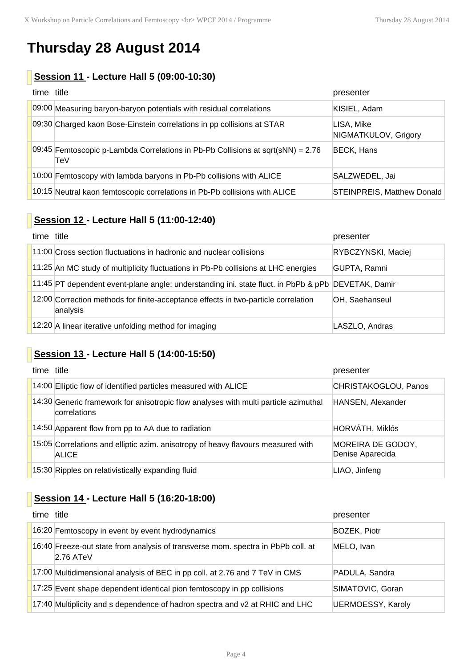# **Thursday 28 August 2014**

# **Session 11 - Lecture Hall 5 (09:00-10:30)**

| time title |                                                                                          | presenter                          |
|------------|------------------------------------------------------------------------------------------|------------------------------------|
|            | 09:00 Measuring baryon-baryon potentials with residual correlations                      | KISIEL, Adam                       |
|            | 09:30 Charged kaon Bose-Einstein correlations in pp collisions at STAR                   | LISA, Mike<br>NIGMATKULOV, Grigory |
|            | 09:45 Femtoscopic p-Lambda Correlations in Pb-Pb Collisions at sqrt(sNN) = $2.76$<br>TeV | <b>BECK, Hans</b>                  |
|            | 10:00 Femtoscopy with lambda baryons in Pb-Pb collisions with ALICE                      | SALZWEDEL, Jai                     |
|            | 10:15 Neutral kaon femtoscopic correlations in Pb-Pb collisions with ALICE               | STEINPREIS, Matthew Donald         |

### **Session 12 - Lecture Hall 5 (11:00-12:40)**

| time title |                                                                                                    | presenter          |
|------------|----------------------------------------------------------------------------------------------------|--------------------|
|            | 11:00 Cross section fluctuations in hadronic and nuclear collisions                                | RYBCZYNSKI, Maciej |
|            | 11:25 An MC study of multiplicity fluctuations in Pb-Pb collisions at LHC energies                 | GUPTA, Ramni       |
|            | 11:45 PT dependent event-plane angle: understanding ini. state fluct. in PbPb & pPb DEVETAK, Damir |                    |
|            | 12:00 Correction methods for finite-acceptance effects in two-particle correlation<br>analysis     | OH, Saehanseul     |
|            | 12:20 A linear iterative unfolding method for imaging                                              | LASZLO, Andras     |

# **Session 13 - Lecture Hall 5 (14:00-15:50)**

| time title |                                                                                                     | presenter                             |
|------------|-----------------------------------------------------------------------------------------------------|---------------------------------------|
|            | 14:00 Elliptic flow of identified particles measured with ALICE                                     | CHRISTAKOGLOU, Panos                  |
|            | 14:30 Generic framework for anisotropic flow analyses with multi particle azimuthal<br>correlations | HANSEN, Alexander                     |
|            | 14:50 Apparent flow from pp to AA due to radiation                                                  | HORVÁTH, Miklós                       |
|            | 15:05 Correlations and elliptic azim. anisotropy of heavy flavours measured with<br>ALICE           | MOREIRA DE GODOY,<br>Denise Aparecida |
|            | 15:30 Ripples on relativistically expanding fluid                                                   | LIAO, Jinfeng                         |

# **Session 14 - Lecture Hall 5 (16:20-18:00)**

| time title                                                                                      | presenter                |
|-------------------------------------------------------------------------------------------------|--------------------------|
| 16:20 Femtoscopy in event by event hydrodynamics                                                | <b>BOZEK, Piotr</b>      |
| 16:40 Freeze-out state from analysis of transverse mom. spectra in PbPb coll. at<br>$2.76$ ATeV | MELO, Ivan               |
| 17:00 Multidimensional analysis of BEC in pp coll. at 2.76 and 7 TeV in CMS                     | PADULA, Sandra           |
| 17:25 Event shape dependent identical pion femtoscopy in pp collisions                          | SIMATOVIC, Goran         |
| 17:40 Multiplicity and s dependence of hadron spectra and v2 at RHIC and LHC                    | <b>UERMOESSY, Karoly</b> |